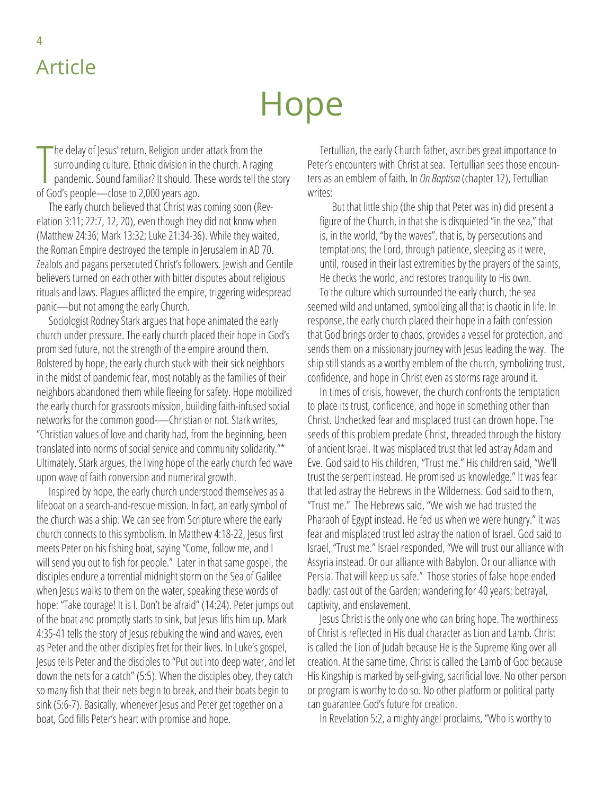## Article

4

## Hope

The delay of Jesus' return. Religion unde<br>surrounding culture. Ethnic division in t<br>pandemic. Sound familiar? It should. The<br>of God's people—close to 2,000 years ago. he delay of Jesus' return. Religion under attack from the surrounding culture. Ethnic division in the church. A raging pandemic. Sound familiar? It should. These words tell the story

The early church believed that Christ was coming soon (Revelation 3:11; 22:7, 12, 20), even though they did not know when (Matthew 24:36; Mark 13:32; Luke 21:34-36). While they waited, the Roman Empire destroyed the temple in Jerusalem in AD 70. Zealots and pagans persecuted Christ's followers. Jewish and Gentile believers turned on each other with bitter disputes about religious rituals and laws. Plagues afflicted the empire, triggering widespread panic—but not among the early Church.

Sociologist Rodney Stark argues that hope animated the early church under pressure. The early church placed their hope in God's promised future, not the strength of the empire around them. Bolstered by hope, the early church stuck with their sick neighbors in the midst of pandemic fear, most notably as the families of their neighbors abandoned them while fleeing for safety. Hope mobilized the early church for grassroots mission, building faith-infused social networks for the common good-—Christian or not. Stark writes, "Christian values of love and charity had, from the beginning, been translated into norms of social service and community solidarity."\* Ultimately, Stark argues, the living hope of the early church fed wave upon wave of faith conversion and numerical growth.

Inspired by hope, the early church understood themselves as a lifeboat on a search-and-rescue mission. In fact, an early symbol of the church was a ship. We can see from Scripture where the early church connects to this symbolism. In Matthew 4:18-22, Jesus first meets Peter on his fishing boat, saying "Come, follow me, and I will send you out to fish for people." Later in that same gospel, the disciples endure a torrential midnight storm on the Sea of Galilee when Jesus walks to them on the water, speaking these words of hope: "Take courage! It is I. Don't be afraid" (14:24). Peter jumps out of the boat and promptly starts to sink, but Jesus lifts him up. Mark 4:35-41 tells the story of Jesus rebuking the wind and waves, even as Peter and the other disciples fret for their lives. In Luke's gospel, Jesus tells Peter and the disciples to "Put out into deep water, and let down the nets for a catch" (5:5). When the disciples obey, they catch so many fish that their nets begin to break, and their boats begin to sink (5:6-7). Basically, whenever Jesus and Peter get together on a boat, God fills Peter's heart with promise and hope.

Tertullian, the early Church father, ascribes great importance to Peter's encounters with Christ at sea. Tertullian sees those encounters as an emblem of faith. In *On Baptism* (chapter 12), Tertullian writes:

But that little ship (the ship that Peter was in) did present a figure of the Church, in that she is disquieted "in the sea," that is, in the world, "by the waves", that is, by persecutions and temptations; the Lord, through patience, sleeping as it were, until, roused in their last extremities by the prayers of the saints, He checks the world, and restores tranquility to His own.

To the culture which surrounded the early church, the sea seemed wild and untamed, symbolizing all that is chaotic in life. In response, the early church placed their hope in a faith confession that God brings order to chaos, provides a vessel for protection, and sends them on a missionary journey with Jesus leading the way. The ship still stands as a worthy emblem of the church, symbolizing trust, confidence, and hope in Christ even as storms rage around it.

In times of crisis, however, the church confronts the temptation to place its trust, confidence, and hope in something other than Christ. Unchecked fear and misplaced trust can drown hope. The seeds of this problem predate Christ, threaded through the history of ancient Israel. It was misplaced trust that led astray Adam and Eve. God said to His children, "Trust me." His children said, "We'll trust the serpent instead. He promised us knowledge." It was fear that led astray the Hebrews in the Wilderness. God said to them, "Trust me." The Hebrews said, "We wish we had trusted the Pharaoh of Egypt instead. He fed us when we were hungry." It was fear and misplaced trust led astray the nation of Israel. God said to Israel, "Trust me." Israel responded, "We will trust our alliance with Assyria instead. Or our alliance with Babylon. Or our alliance with Persia. That will keep us safe." Those stories of false hope ended badly: cast out of the Garden; wandering for 40 years; betrayal, captivity, and enslavement.

Jesus Christ is the only one who can bring hope. The worthiness of Christ is reflected in His dual character as Lion and Lamb. Christ is called the Lion of Judah because He is the Supreme King over all creation. At the same time, Christ is called the Lamb of God because His Kingship is marked by self-giving, sacrificial love. No other person or program is worthy to do so. No other platform or political party can guarantee God's future for creation.

In Revelation 5:2, a mighty angel proclaims, "Who is worthy to